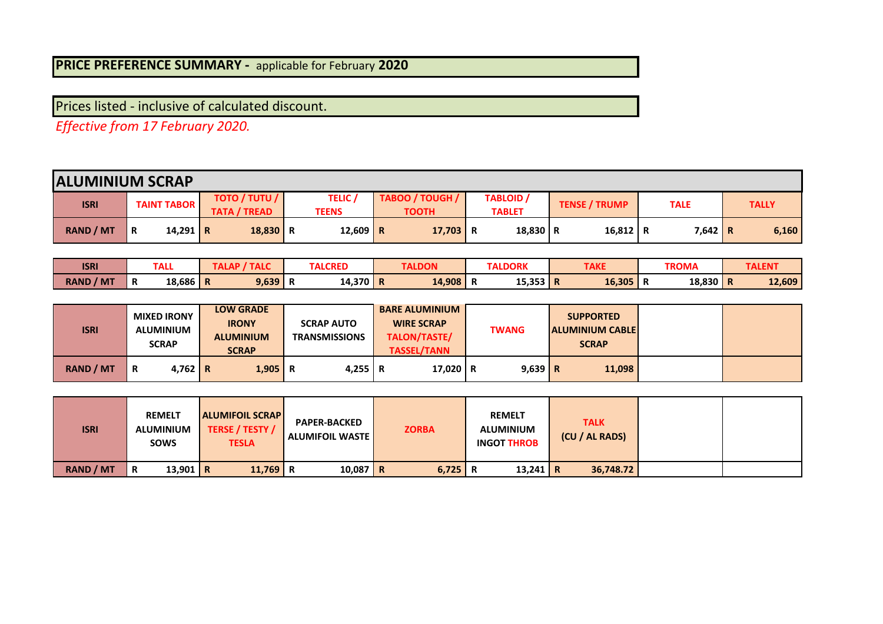## **PRICE PREFERENCE SUMMARY -** applicable for February **2020**

Prices listed - inclusive of calculated discount.

*Effective from 17 February 2020.* 

|                  | <b>ALUMINIUM SCRAP</b> |                                             |                             |                                 |                            |                      |           |              |  |  |  |  |  |  |
|------------------|------------------------|---------------------------------------------|-----------------------------|---------------------------------|----------------------------|----------------------|-----------|--------------|--|--|--|--|--|--|
| <b>ISRI</b>      | <b>TAINT TABOR</b>     | <b>TOTO / TUTU /</b><br><b>TATA / TREAD</b> | TELIC <sub>1</sub><br>TEENS | TABOO / TOUGH /<br><b>TOOTH</b> | TABLOID /<br><b>TABLET</b> | <b>TENSE / TRUMP</b> | TALE      | <b>TALLY</b> |  |  |  |  |  |  |
| <b>RAND / MT</b> | 14,291   R<br>R        | $18,830$ R                                  | 12,609 R                    | $17,703$ R                      | 18,830 R                   | 16,812   R           | $7,642$ R | 6,160        |  |  |  |  |  |  |

| <b>ISRI</b>         |                | <b>TALL</b> | л.<br>$\overline{\phantom{a}}$ | <b>TALCRED</b> | <b>TALDON</b> | <b>TALDORK</b> | <b>TAKE</b> |     | <b>TROMA</b> |              | <b>TALEN</b> |
|---------------------|----------------|-------------|--------------------------------|----------------|---------------|----------------|-------------|-----|--------------|--------------|--------------|
| <b>RAND</b><br>/ MT | <sup>'</sup> R | $18,686$ R  | 9,639                          | 14,370   R     | 14.908        | <br>15,353 R   | 16,305      | IN. | 18,830       | $\mathbf{r}$ | 12,609       |

| <b>ISRI</b>      | <b>MIXED IRONY</b><br><b>ALUMINIUM</b><br><b>SCRAP</b> | <b>LOW GRADE</b><br><b>IRONY</b><br><b>ALUMINIUM</b><br><b>SCRAP</b> | <b>SCRAP AUTO</b><br><b>TRANSMISSIONS</b> | <b>BARE ALUMINIUM</b><br><b>WIRE SCRAP</b><br><b>TALON/TASTE/</b><br><b>TASSEL/TANN</b> | <b>TWANG</b>            | <b>SUPPORTED</b><br><b>ALUMINIUM CABLE</b><br><b>SCRAP</b> |  |
|------------------|--------------------------------------------------------|----------------------------------------------------------------------|-------------------------------------------|-----------------------------------------------------------------------------------------|-------------------------|------------------------------------------------------------|--|
| <b>RAND / MT</b> | $4.762 \mid R \mid$<br>R                               | $1,905$ R                                                            | 4.255 R                                   |                                                                                         | $17.020$ R<br>$9,639$ R | 11,098                                                     |  |

| <b>ISRI</b>      | <b>REMELT</b><br>ALUMINIUM<br><b>SOWS</b> | <b>ALUMIFOIL SCRAP</b><br>TERSE / TESTY /<br><b>TESLA</b> | <b>PAPER-BACKED</b><br><b>ALUMIFOIL WASTE</b> | <b>ZORBA</b> | <b>REMELT</b><br><b>ALUMINIUM</b><br><b>INGOT THROB</b> | TALK<br>(CU / AL RADS) |  |
|------------------|-------------------------------------------|-----------------------------------------------------------|-----------------------------------------------|--------------|---------------------------------------------------------|------------------------|--|
| <b>RAND / MT</b> | 13,901 R<br>R                             | 11,769   R                                                | $10,087$ R                                    | 6,725        | 13,241   R<br>R                                         | 36,748.72              |  |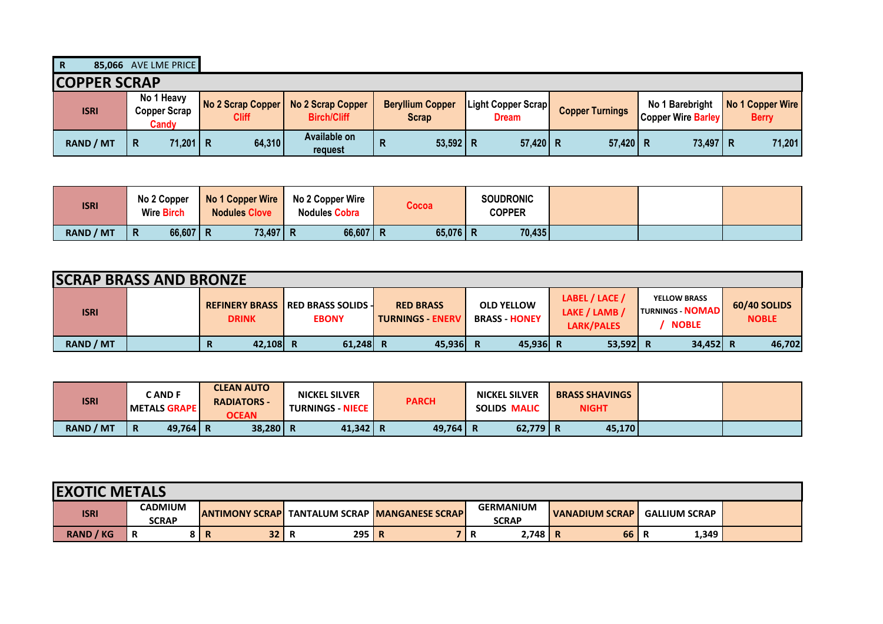**R 85,066** AVE LME PRICE

| <b>COPPER SCRAP</b> |                                     |              |                                                             |                                  |                                           |                        |                           |                                                  |
|---------------------|-------------------------------------|--------------|-------------------------------------------------------------|----------------------------------|-------------------------------------------|------------------------|---------------------------|--------------------------------------------------|
| <b>ISRI</b>         | No 1 Heavy<br>Copper Scrap<br>Candy | <b>Cliff</b> | No 2 Scrap Copper   No 2 Scrap Copper<br><b>Birch/Cliff</b> | <b>Beryllium Copper</b><br>Scrap | <b>Light Copper Scrap</b><br><b>Dream</b> | <b>Copper Turnings</b> | <b>Copper Wire Barley</b> | No 1 Barebright No 1 Copper Wire<br><b>Berry</b> |
| <b>RAND / MT</b>    | 71,201 R<br>l R                     | 64,310       | Available on<br>request                                     | $53,592$ R                       | 57,420 R                                  | $57,420$ R             | 73,497 R                  | 71,201                                           |

| <b>ISRI</b> | No 2 Copper<br><b>Wire Birch</b> | No 1 Copper Wire<br><b>Nodules Clove</b> | <b>No 2 Copper Wire</b><br><b>Nodules Cobra</b> | <b>Cocoa</b> | <b>SOUDRONIC</b><br>COPPER |  |
|-------------|----------------------------------|------------------------------------------|-------------------------------------------------|--------------|----------------------------|--|
| RAND / MT   | $66,607$ R<br>$\mathsf{R}$       | 73,497 R                                 | 66,607   R                                      | 65,076   R   | 70,435                     |  |

| <b>SCRAP BRASS AND BRONZE</b> |               |                                                            |                                           |                                         |                                               |                                                                |                              |
|-------------------------------|---------------|------------------------------------------------------------|-------------------------------------------|-----------------------------------------|-----------------------------------------------|----------------------------------------------------------------|------------------------------|
| <b>ISRI</b>                   | <b>DRINK</b>  | <b>REFINERY BRASS   RED BRASS SOLIDS -</b><br><b>EBONY</b> | <b>RED BRASS</b><br><b>TURNINGS ENERV</b> | <b>OLD YELLOW</b><br><b>BRASS HONEY</b> | LABEL / LACE /<br>LAKE / LAMB /<br>LARK/PALES | <b>YELLOW BRASS</b><br><b>TURNINGS NOMADIL</b><br><b>NOBLE</b> | 60/40 SOLIDS<br><b>NOBLE</b> |
| <b>RAND / MT</b>              | 42,108 R<br>R | 61,248                                                     | $45,936$ R                                | 45,936 R                                | 53,592 R                                      | 34,452 R                                                       | 46,702                       |

| <b>ISRI</b>      | C AND F<br><b>'METALS GRAPE I</b> | <b>CLEAN AUTO</b><br><b>RADIATORS -</b><br><b>OCEAN</b> | <b>NICKEL SILVER</b><br><b>TURNINGS - NIECE I</b> | <b>PARCH</b> | <b>NICKEL SILVER</b><br><b>SOLIDS MALIC</b> | <b>BRASS SHAVINGS</b><br><b>NIGHT</b> |  |
|------------------|-----------------------------------|---------------------------------------------------------|---------------------------------------------------|--------------|---------------------------------------------|---------------------------------------|--|
| <b>RAND / MT</b> | 49.764 R<br>$\mathbf R$           | $38,280$ R                                              | 41,342 R                                          | 49.764       | $62,779$ R                                  | 45,170                                |  |

| <b>EXOTIC METALS</b> |                                |                         |    |           |                                    |   |                                  |                  |                      |  |  |  |
|----------------------|--------------------------------|-------------------------|----|-----------|------------------------------------|---|----------------------------------|------------------|----------------------|--|--|--|
| <b>ISRI</b>          | <b>CADMIUM</b><br><b>SCRAP</b> | <b>LANTIMONY SCRAPL</b> |    |           | I TANTALUM SCRAP IMANGANESE SCRAPI |   | <b>GERMANIUM</b><br><b>SCRAP</b> | l VANADIUM SCRAP | <b>GALLIUM SCRAP</b> |  |  |  |
| <b>RAND / KG</b>     | R                              | 8   R                   | 32 | 295   $R$ |                                    | n | $2,748$ R                        | 66               | 1,349<br>R           |  |  |  |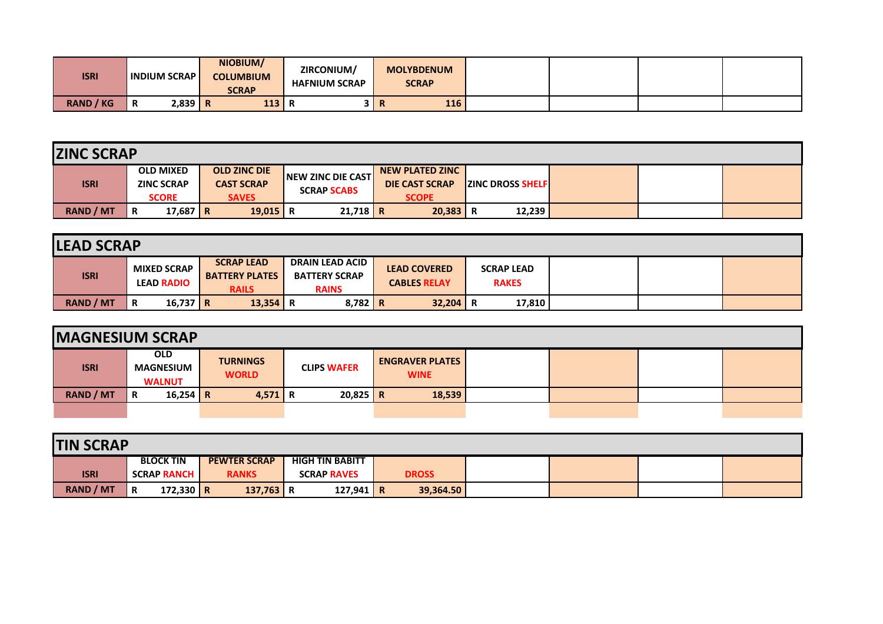| <b>ISRI</b>      | <b>INDIUM SCRAPI</b> |           | NIOBIUM/<br><b>COLUMBIUM</b><br><b>SCRAP</b> | ZIRCONIUM/<br><b>HAFNIUM SCRAP</b> |    | <b>MOLYBDENUM</b><br><b>SCRAP</b> |  |  |
|------------------|----------------------|-----------|----------------------------------------------|------------------------------------|----|-----------------------------------|--|--|
| <b>RAND / KG</b> | R                    | $2.839$ R | 113<br>113                                   | . n<br>$\mathbf{u}$                | n. | 116                               |  |  |

| <b>ZINC SCRAP</b> |                                       |                                          |                    |                                                 |                           |  |  |
|-------------------|---------------------------------------|------------------------------------------|--------------------|-------------------------------------------------|---------------------------|--|--|
| <b>ISRI</b>       | <b>OLD MIXED</b><br><b>ZINC SCRAP</b> | <b>OLD ZINC DIE</b><br><b>CAST SCRAP</b> | NEW ZINC DIE CAST  | <b>NEW PLATED ZINC</b><br><b>DIE CAST SCRAP</b> | <b>IZINC DROSS SHELFI</b> |  |  |
|                   | <b>SCORE</b>                          | <b>SAVES</b>                             | <b>SCRAP SCABS</b> | <b>SCOPE</b>                                    |                           |  |  |
| <b>RAND / MT</b>  | 17,687   R<br>R                       | 19,015 R                                 | $21,718$ R         | 20,383                                          | 12,239                    |  |  |

| <b>LEAD SCRAP</b> |                                         |                                                            |                                                                |                                            |                                   |  |  |
|-------------------|-----------------------------------------|------------------------------------------------------------|----------------------------------------------------------------|--------------------------------------------|-----------------------------------|--|--|
| <b>ISRI</b>       | <b>MIXED SCRAP</b><br><b>LEAD RADIO</b> | <b>SCRAP LEAD</b><br><b>BATTERY PLATES</b><br><b>RAILS</b> | <b>DRAIN LEAD ACID</b><br><b>BATTERY SCRAP</b><br><b>RAINS</b> | <b>LEAD COVERED</b><br><b>CABLES RELAY</b> | <b>SCRAP LEAD</b><br><b>RAKES</b> |  |  |
| <b>RAND / MT</b>  | 16,737 R<br>ΙR                          | $13,354$ R                                                 | $8,782$ R                                                      | 32,204                                     | 17,810<br>R                       |  |  |

| <b>MAGNESIUM SCRAP</b> |                                                 |                                 |                    |                                       |  |  |
|------------------------|-------------------------------------------------|---------------------------------|--------------------|---------------------------------------|--|--|
| <b>ISRI</b>            | <b>OLD</b><br><b>MAGNESIUM</b><br><b>WALNUT</b> | <b>TURNINGS</b><br><b>WORLD</b> | <b>CLIPS WAFER</b> | <b>ENGRAVER PLATES</b><br><b>WINE</b> |  |  |
| <b>RAND / MT</b>       | $16,254$ R<br>R                                 | $4,571$ R                       | $20,825$ R         | 18,539                                |  |  |
|                        |                                                 |                                 |                    |                                       |  |  |

| <b>TIN SCRAP</b> |             |                    |                     |                        |             |              |  |  |
|------------------|-------------|--------------------|---------------------|------------------------|-------------|--------------|--|--|
|                  |             | <b>BLOCK TIN</b>   | <b>PEWTER SCRAP</b> | <b>HIGH TIN BABITT</b> |             |              |  |  |
| <b>ISRI</b>      |             | <b>SCRAP RANCH</b> | <b>RANKS</b>        | <b>SCRAP RAVES</b>     |             | <b>DROSS</b> |  |  |
| <b>RAND / MT</b> | $\mathbf R$ | 172,330 R          | $137,763$ R         |                        | 127,941   R | 39,364.50    |  |  |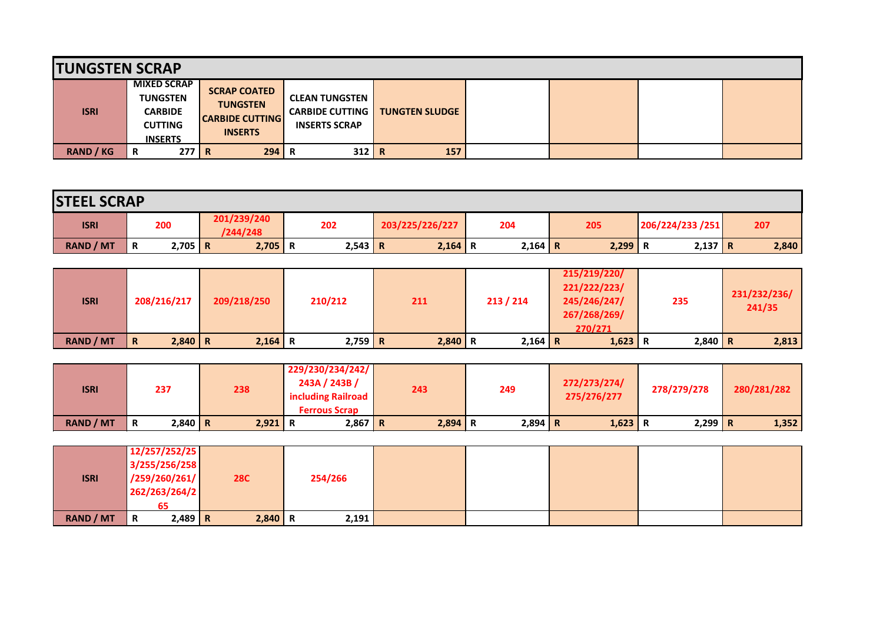| <b>TUNGSTEN SCRAP</b> |                                                                                             |                                                                                    |                                                                         |                       |  |  |
|-----------------------|---------------------------------------------------------------------------------------------|------------------------------------------------------------------------------------|-------------------------------------------------------------------------|-----------------------|--|--|
| <b>ISRI</b>           | <b>MIXED SCRAP</b><br><b>TUNGSTEN</b><br><b>CARBIDE</b><br><b>CUTTING</b><br><b>INSERTS</b> | <b>SCRAP COATED</b><br><b>TUNGSTEN</b><br><b>CARBIDE CUTTING</b><br><b>INSERTS</b> | <b>CLEAN TUNGSTEN</b><br><b>CARBIDE CUTTING</b><br><b>INSERTS SCRAP</b> | <b>TUNGTEN SLUDGE</b> |  |  |
| <b>RAND / KG</b>      | 277 R<br>R                                                                                  | 294                                                                                | $312$ R<br>Ð<br>в                                                       | 157                   |  |  |

| <b>STEEL SCRAP</b> |   |           |  |                         |   |           |  |                        |  |           |  |           |                  |           |     |       |
|--------------------|---|-----------|--|-------------------------|---|-----------|--|------------------------|--|-----------|--|-----------|------------------|-----------|-----|-------|
| <b>ISRI</b>        |   | 200       |  | 201/239/240<br>/244/248 |   | 202       |  | 203/225/226/227<br>204 |  | 205       |  |           | 206/224/233 /251 |           | 207 |       |
| <b>RAND / MT</b>   | R | $2,705$ R |  | 2,705                   | R | $2,543$ R |  | $2,164$ R              |  | $2,164$ R |  | $2,299$ R |                  | $2,137$ R |     | 2,840 |

| <b>ISRI</b>      | 208/216/217              | 209/218/250 | 210/212   | 211       | 213 / 214 | 215/219/220/<br>221/222/223/<br>245/246/247/<br>267/268/269/<br>270/271 | 235       | 231/232/236/<br>241/35 |
|------------------|--------------------------|-------------|-----------|-----------|-----------|-------------------------------------------------------------------------|-----------|------------------------|
| <b>RAND / MT</b> | $2,840$ R<br>$\mathbf R$ | $2,164$ R   | $2,759$ R | $2,840$ R | $2,164$ R | $1,623$ R                                                               | $2,840$ R | 2,813                  |

| <b>ISRI</b>      | 237            | 238       | 229/230/234/242/<br>243A / 243B /<br>including Railroad<br><b>Ferrous Scrap</b> | 243         | 249       | 272/273/274/<br>275/276/277 | 278/279/278 | 280/281/282 |
|------------------|----------------|-----------|---------------------------------------------------------------------------------|-------------|-----------|-----------------------------|-------------|-------------|
| <b>RAND / MT</b> | $2,840$ R<br>R | $2,921$ R | $2,867$ R                                                                       | $2,894$   R | $2,894$ R | $1,623$ R                   | 2,299 R     | 1,352       |

|             | 12/257/252/25  |            |         |  |  |  |
|-------------|----------------|------------|---------|--|--|--|
|             | 3/255/256/258  |            |         |  |  |  |
| <b>ISRI</b> | /259/260/261/  | <b>28C</b> | 254/266 |  |  |  |
|             | 262/263/264/2  |            |         |  |  |  |
|             | 65             |            |         |  |  |  |
| RAND / MT   | $2,489$ R<br>R | $2,840$ R  | 2,191   |  |  |  |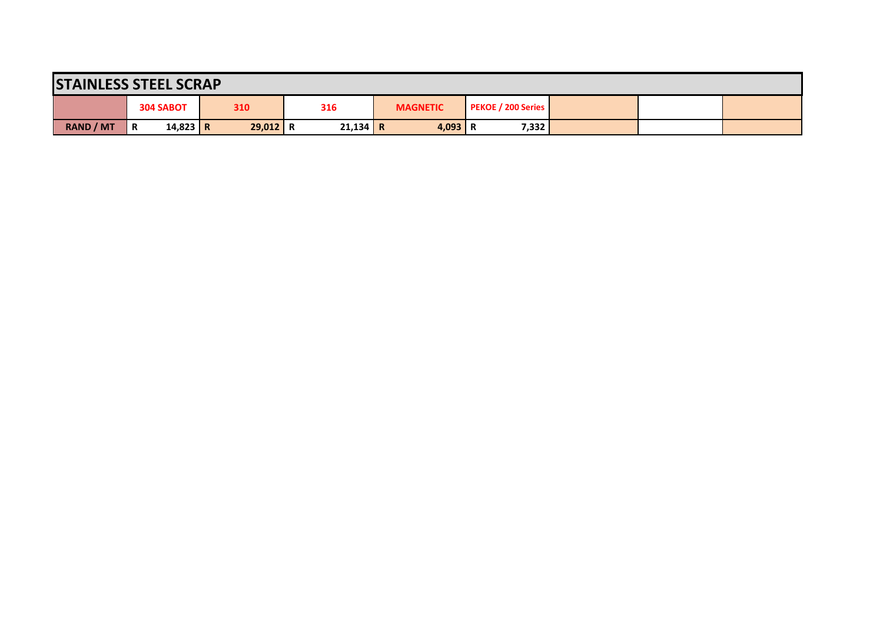|                  |                  |            |     |            |     | <b>STAINLESS STEEL SCRAP</b> |                 |           |  |                           |  |  |  |  |  |  |  |  |  |  |
|------------------|------------------|------------|-----|------------|-----|------------------------------|-----------------|-----------|--|---------------------------|--|--|--|--|--|--|--|--|--|--|
|                  | <b>304 SABOT</b> |            | 310 |            | 316 |                              | <b>MAGNETIC</b> |           |  | <b>PEKOE / 200 Series</b> |  |  |  |  |  |  |  |  |  |  |
| <b>RAND / MT</b> | R                | $14,823$ R |     | $29,012$ R |     | $21,134$ R                   |                 | $4,093$ R |  | 7,332                     |  |  |  |  |  |  |  |  |  |  |